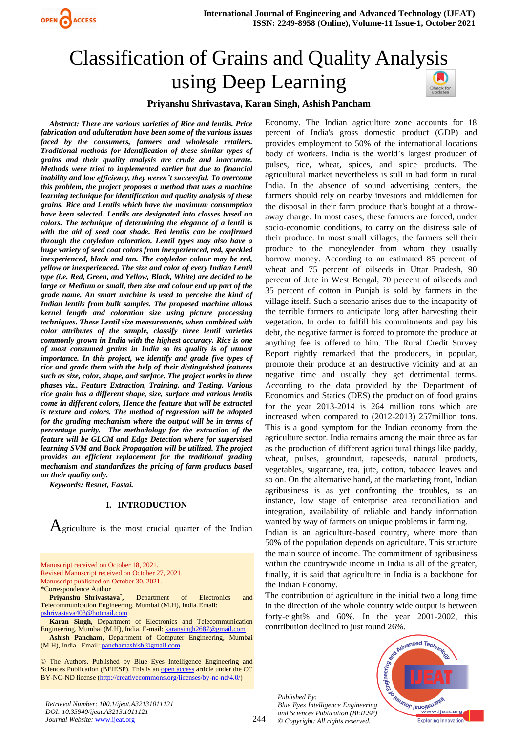

# Classification of Grains and Quality Analysis using Deep Learning



#### **Priyanshu Shrivastava, Karan Singh, Ashish Pancham**

*Abstract: There are various varieties of Rice and lentils. Price fabrication and adulteration have been some of the various issues faced by the consumers, farmers and wholesale retailers. Traditional methods for Identification of these similar types of grains and their quality analysis are crude and inaccurate. Methods were tried to implemented earlier but due to financial inability and low efficiency, they weren't successful. To overcome this problem, the project proposes a method that uses a machine learning technique for identification and quality analysis of these grains. Rice and Lentils which have the maximum consumption have been selected. Lentils are designated into classes based on colors. The technique of determining the elegance of a lentil is with the aid of seed coat shade. Red lentils can be confirmed through the cotyledon coloration. Lentil types may also have a huge variety of seed coat colors from inexperienced, red, speckled inexperienced, black and tan. The cotyledon colour may be red, yellow or inexperienced. The size and color of every Indian Lentil type (i.e. Red, Green, and Yellow, Black, White) are decided to be large or Medium or small, then size and colour end up part of the grade name. An smart machine is used to perceive the kind of Indian lentils from bulk samples. The proposed machine allows kernel length and coloration size using picture processing techniques. These Lentil size measurements, when combined with color attributes of the sample, classify three lentil varieties commonly grown in India with the highest accuracy. Rice is one of most consumed grains in India so its quality is of utmost importance. In this project, we identify and grade five types of rice and grade them with the help of their distinguished features such as size, color, shape, and surface. The project works in three phases viz., Feature Extraction, Training, and Testing. Various rice grain has a different shape, size, surface and various lentils come in different colors, Hence the feature that will be extracted is texture and colors. The method of regression will be adopted for the grading mechanism where the output will be in terms of percentage purity. The methodology for the extraction of the feature will be GLCM and Edge Detection where for supervised learning SVM and Back Propagation will be utilized. The project provides an efficient replacement for the traditional grading mechanism and standardizes the pricing of farm products based on their quality only.*

*Keywords: Resnet, Fastai.*

#### **I. INTRODUCTION**

 $A$ griculture is the most crucial quarter of the Indian

Manuscript received on October 18, 2021. Revised Manuscript received on October 27, 2021. Manuscript published on October 30, 2021.

**\***Correspondence Author

**Priyanshu Shrivastava\* ,** Department of Electronics and Telecommunication Engineering, Mumbai (M.H), India.Email: [pshrivastava403@hotmail.com](mailto:pshrivastava403@hotmail.com)

**Karan Singh,** Department of Electronics and Telecommunication Engineering, Mumbai (M.H), India. E-mail[: karansingh2687@gmail.com](mailto:karansingh2687@gmail.com)

**Ashish Pancham**, Department of Computer Engineering, Mumbai (M.H), India. Email: [panchamashish@gmail.com](mailto:panchamashish@gmail.com)

© The Authors. Published by Blue Eyes Intelligence Engineering and Sciences Publication (BEIESP). This is an [open access](https://www.openaccess.nl/en/open-publications) article under the CC BY-NC-ND license [\(http://creativecommons.org/licenses/by-nc-nd/4.0/\)](http://creativecommons.org/licenses/by-nc-nd/4.0/)

percent of India's gross domestic product (GDP) and provides employment to 50% of the international locations body of workers. India is the world's largest producer of pulses, rice, wheat, spices, and spice products. The agricultural market nevertheless is still in bad form in rural India. In the absence of sound advertising centers, the farmers should rely on nearby investors and middlemen for the disposal in their farm produce that's bought at a throwaway charge. In most cases, these farmers are forced, under socio-economic conditions, to carry on the distress sale of their produce. In most small villages, the farmers sell their produce to the moneylender from whom they usually borrow money. According to an estimated 85 percent of wheat and 75 percent of oilseeds in Uttar Pradesh, 90 percent of Jute in West Bengal, 70 percent of oilseeds and 35 percent of cotton in Punjab is sold by farmers in the village itself. Such a scenario arises due to the incapacity of the terrible farmers to anticipate long after harvesting their vegetation. In order to fulfill his commitments and pay his debt, the negative farmer is forced to promote the produce at anything fee is offered to him. The Rural Credit Survey Report rightly remarked that the producers, in popular, promote their produce at an destructive vicinity and at an negative time and usually they get detrimental terms. According to the data provided by the Department of Economics and Statics (DES) the production of food grains for the year 2013-2014 is 264 million tons which are increased when compared to (2012-2013) 257million tons. This is a good symptom for the Indian economy from the agriculture sector. India remains among the main three as far as the production of different agricultural things like paddy, wheat, pulses, groundnut, rapeseeds, natural products, vegetables, sugarcane, tea, jute, cotton, tobacco leaves and so on. On the alternative hand, at the marketing front, Indian agribusiness is as yet confronting the troubles, as an instance, low stage of enterprise area reconciliation and integration, availability of reliable and handy information

Economy. The Indian agriculture zone accounts for 18

Indian is an agriculture-based country, where more than 50% of the population depends on agriculture. This structure the main source of income. The commitment of agribusiness within the countrywide income in India is all of the greater, finally, it is said that agriculture in India is a backbone for the Indian Economy.

wanted by way of farmers on unique problems in farming.

The contribution of agriculture in the initial two a long time in the direction of the whole country wide output is between forty-eight% and 60%. In the year 2001-2002, this contribution declined to just round 26%.

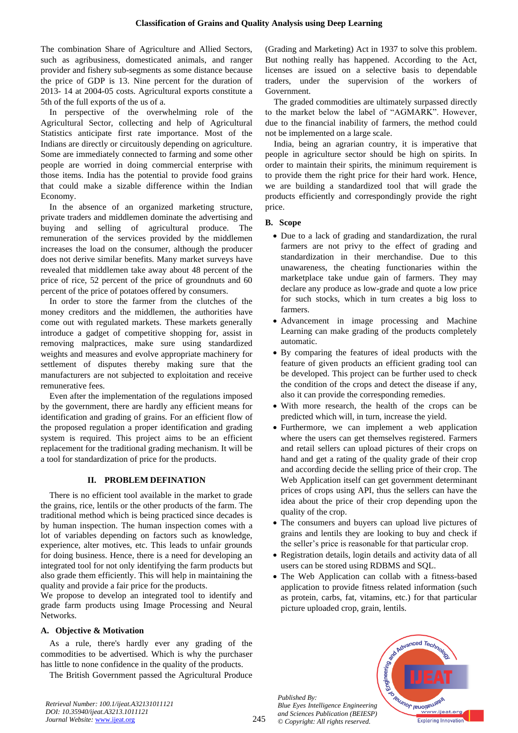The combination Share of Agriculture and Allied Sectors, such as agribusiness, domesticated animals, and ranger provider and fishery sub-segments as some distance because the price of GDP is 13. Nine percent for the duration of 2013- 14 at 2004-05 costs. Agricultural exports constitute a 5th of the full exports of the us of a.

In perspective of the overwhelming role of the Agricultural Sector, collecting and help of Agricultural Statistics anticipate first rate importance. Most of the Indians are directly or circuitously depending on agriculture. Some are immediately connected to farming and some other people are worried in doing commercial enterprise with those items. India has the potential to provide food grains that could make a sizable difference within the Indian Economy.

In the absence of an organized marketing structure, private traders and middlemen dominate the advertising and buying and selling of agricultural produce. The remuneration of the services provided by the middlemen increases the load on the consumer, although the producer does not derive similar benefits. Many market surveys have revealed that middlemen take away about 48 percent of the price of rice, 52 percent of the price of groundnuts and 60 percent of the price of potatoes offered by consumers.

In order to store the farmer from the clutches of the money creditors and the middlemen, the authorities have come out with regulated markets. These markets generally introduce a gadget of competitive shopping for, assist in removing malpractices, make sure using standardized weights and measures and evolve appropriate machinery for settlement of disputes thereby making sure that the manufacturers are not subjected to exploitation and receive remunerative fees.

Even after the implementation of the regulations imposed by the government, there are hardly any efficient means for identification and grading of grains. For an efficient flow of the proposed regulation a proper identification and grading system is required. This project aims to be an efficient replacement for the traditional grading mechanism. It will be a tool for standardization of price for the products.

#### **II. PROBLEM DEFINATION**

 There is no efficient tool available in the market to grade the grains, rice, lentils or the other products of the farm. The traditional method which is being practiced since decades is by human inspection. The human inspection comes with a lot of variables depending on factors such as knowledge, experience, alter motives, etc. This leads to unfair grounds for doing business. Hence, there is a need for developing an integrated tool for not only identifying the farm products but also grade them efficiently. This will help in maintaining the quality and provide a fair price for the products.

We propose to develop an integrated tool to identify and grade farm products using Image Processing and Neural Networks.

#### **A. Objective & Motivation**

As a rule, there's hardly ever any grading of the commodities to be advertised. Which is why the purchaser has little to none confidence in the quality of the products.

The British Government passed the Agricultural Produce

(Grading and Marketing) Act in 1937 to solve this problem. But nothing really has happened. According to the Act, licenses are issued on a selective basis to dependable traders, under the supervision of the workers of Government.

The graded commodities are ultimately surpassed directly to the market below the label of "AGMARK". However, due to the financial inability of farmers, the method could not be implemented on a large scale.

India, being an agrarian country, it is imperative that people in agriculture sector should be high on spirits. In order to maintain their spirits, the minimum requirement is to provide them the right price for their hard work. Hence, we are building a standardized tool that will grade the products efficiently and correspondingly provide the right price.

# **B. Scope**

- Due to a lack of grading and standardization, the rural farmers are not privy to the effect of grading and standardization in their merchandise. Due to this unawareness, the cheating functionaries within the marketplace take undue gain of farmers. They may declare any produce as low-grade and quote a low price for such stocks, which in turn creates a big loss to farmers.
- Advancement in image processing and Machine Learning can make grading of the products completely automatic.
- By comparing the features of ideal products with the feature of given products an efficient grading tool can be developed. This project can be further used to check the condition of the crops and detect the disease if any, also it can provide the corresponding remedies.
- With more research, the health of the crops can be predicted which will, in turn, increase the yield.
- Furthermore, we can implement a web application where the users can get themselves registered. Farmers and retail sellers can upload pictures of their crops on hand and get a rating of the quality grade of their crop and according decide the selling price of their crop. The Web Application itself can get government determinant prices of crops using API, thus the sellers can have the idea about the price of their crop depending upon the quality of the crop.
- The consumers and buyers can upload live pictures of grains and lentils they are looking to buy and check if the seller's price is reasonable for that particular crop.
- Registration details, login details and activity data of all users can be stored using RDBMS and SQL.
- The Web Application can collab with a fitness-based application to provide fitness related information (such as protein, carbs, fat, vitamins, etc.) for that particular picture uploaded crop, grain, lentils.

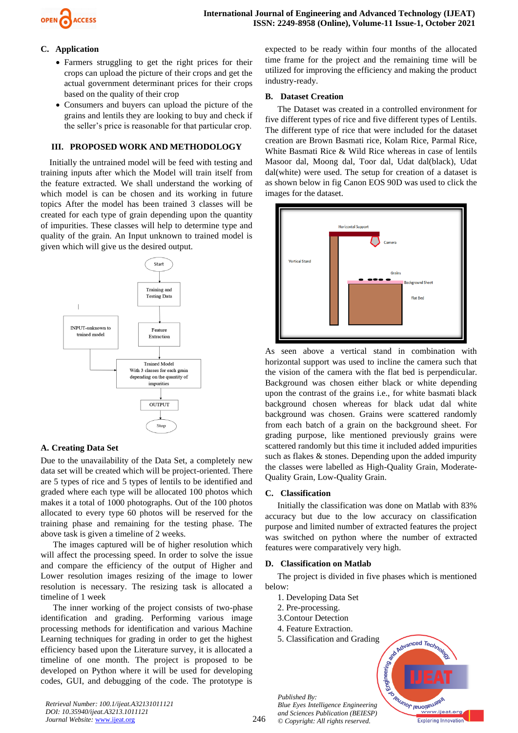

# **C. Application**

- Farmers struggling to get the right prices for their crops can upload the picture of their crops and get the actual government determinant prices for their crops based on the quality of their crop
- Consumers and buyers can upload the picture of the grains and lentils they are looking to buy and check if the seller's price is reasonable for that particular crop.

# **III. PROPOSED WORK AND METHODOLOGY**

Initially the untrained model will be feed with testing and training inputs after which the Model will train itself from the feature extracted. We shall understand the working of which model is can be chosen and its working in future topics After the model has been trained 3 classes will be created for each type of grain depending upon the quantity of impurities. These classes will help to determine type and quality of the grain. An Input unknown to trained model is given which will give us the desired output.



# **A. Creating Data Set**

Due to the unavailability of the Data Set, a completely new data set will be created which will be project-oriented. There are 5 types of rice and 5 types of lentils to be identified and graded where each type will be allocated 100 photos which makes it a total of 1000 photographs. Out of the 100 photos allocated to every type 60 photos will be reserved for the training phase and remaining for the testing phase. The above task is given a timeline of 2 weeks.

The images captured will be of higher resolution which will affect the processing speed. In order to solve the issue and compare the efficiency of the output of Higher and Lower resolution images resizing of the image to lower resolution is necessary. The resizing task is allocated a timeline of 1 week

The inner working of the project consists of two-phase identification and grading. Performing various image processing methods for identification and various Machine Learning techniques for grading in order to get the highest efficiency based upon the Literature survey, it is allocated a timeline of one month. The project is proposed to be developed on Python where it will be used for developing codes, GUI, and debugging of the code. The prototype is

expected to be ready within four months of the allocated time frame for the project and the remaining time will be utilized for improving the efficiency and making the product industry-ready.

# **B. Dataset Creation**

The Dataset was created in a controlled environment for five different types of rice and five different types of Lentils. The different type of rice that were included for the dataset creation are Brown Basmati rice, Kolam Rice, Parmal Rice, White Basmati Rice & Wild Rice whereas in case of lentils Masoor dal, Moong dal, Toor dal, Udat dal(black), Udat dal(white) were used. The setup for creation of a dataset is as shown below in fig Canon EOS 90D was used to click the images for the dataset.



As seen above a vertical stand in combination with horizontal support was used to incline the camera such that the vision of the camera with the flat bed is perpendicular. Background was chosen either black or white depending upon the contrast of the grains i.e., for white basmati black background chosen whereas for black udat dal white background was chosen. Grains were scattered randomly from each batch of a grain on the background sheet. For grading purpose, like mentioned previously grains were scattered randomly but this time it included added impurities such as flakes & stones. Depending upon the added impurity the classes were labelled as High-Quality Grain, Moderate-Quality Grain, Low-Quality Grain.

#### **C. Classification**

Initially the classification was done on Matlab with 83% accuracy but due to the low accuracy on classification purpose and limited number of extracted features the project was switched on python where the number of extracted features were comparatively very high.

#### **D. Classification on Matlab**

The project is divided in five phases which is mentioned below:

- 1. Developing Data Set
- 2. Pre-processing.
- 3.Contour Detection
- 4. Feature Extraction.
- 5. Classification and Grading



*Retrieval Number: 100.1/ijeat.A32131011121 DOI: 10.35940/ijeat.A3213.1011121 Journal Website:* [www.ijeat.org](http://www.ijeat.org/)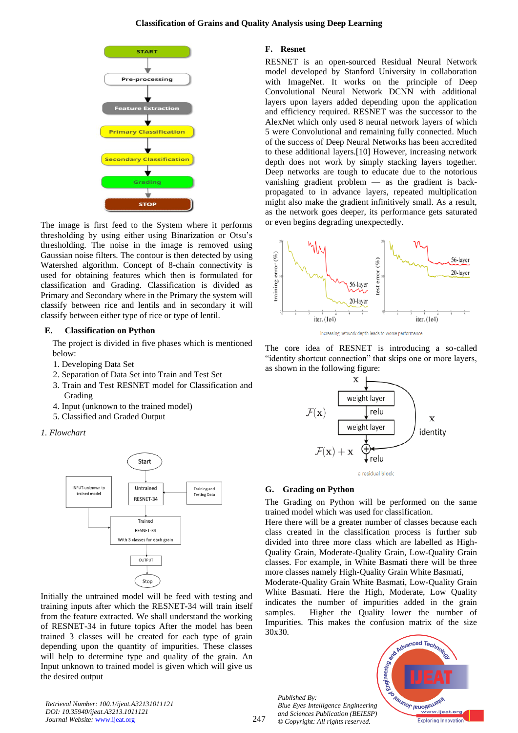

The image is first feed to the System where it performs thresholding by using either using Binarization or Otsu's thresholding. The noise in the image is removed using Gaussian noise filters. The contour is then detected by using Watershed algorithm. Concept of 8-chain connectivity is used for obtaining features which then is formulated for classification and Grading. Classification is divided as Primary and Secondary where in the Primary the system will classify between rice and lentils and in secondary it will classify between either type of rice or type of lentil.

#### **E. Classification on Python**

The project is divided in five phases which is mentioned below:

- 1. Developing Data Set
- 2. Separation of Data Set into Train and Test Set
- 3. Train and Test RESNET model for Classification and Grading
- 4. Input (unknown to the trained model)
- 5. Classified and Graded Output





Initially the untrained model will be feed with testing and training inputs after which the RESNET-34 will train itself from the feature extracted. We shall understand the working of RESNET-34 in future topics After the model has been trained 3 classes will be created for each type of grain depending upon the quantity of impurities. These classes will help to determine type and quality of the grain. An Input unknown to trained model is given which will give us the desired output

#### **F. Resnet**

RESNET is an open-sourced Residual Neural Network model developed by Stanford University in collaboration with ImageNet. It works on the principle of Deep Convolutional Neural Network DCNN with additional layers upon layers added depending upon the application and efficiency required. RESNET was the successor to the AlexNet which only used 8 neural network layers of which 5 were Convolutional and remaining fully connected. Much of the success of Deep Neural Networks has been accredited to these additional layers.[10] However, increasing network depth does not work by simply stacking layers together. Deep networks are tough to educate due to the notorious vanishing gradient problem — as the gradient is backpropagated to in advance layers, repeated multiplication might also make the gradient infinitively small. As a result, as the network goes deeper, its performance gets saturated or even begins degrading unexpectedly.



increasing network depth leads to worse performance

The core idea of RESNET is introducing a so-called "identity shortcut connection" that skips one or more layers, as shown in the following figure:





#### **G. Grading on Python**

The Grading on Python will be performed on the same trained model which was used for classification.

Here there will be a greater number of classes because each class created in the classification process is further sub divided into three more class which are labelled as High-Quality Grain, Moderate-Quality Grain, Low-Quality Grain classes. For example, in White Basmati there will be three more classes namely High-Quality Grain White Basmati,

Moderate-Quality Grain White Basmati, Low-Quality Grain White Basmati. Here the High, Moderate, Low Quality indicates the number of impurities added in the grain samples. Higher the Quality lower the number of Impurities. This makes the confusion matrix of the size 30x30.

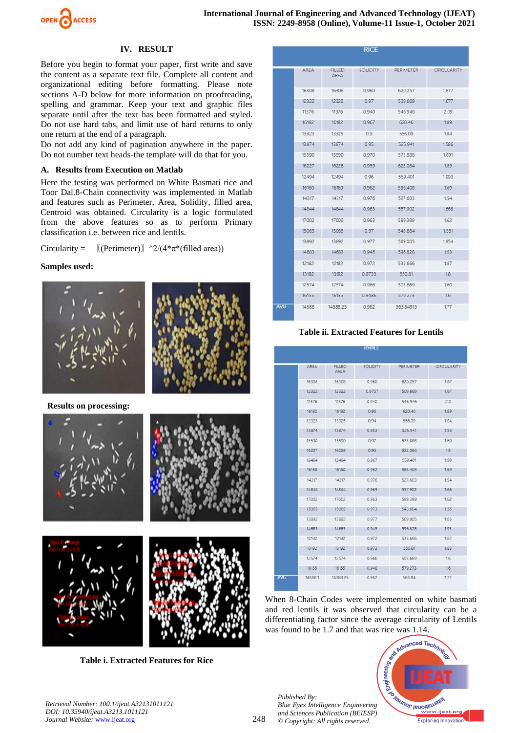

# **IV. RESULT**

Before you begin to format your paper, first write and save the content as a separate text file. Complete all content and organizational editing before formatting. Please note sections A-D below for more information on proofreading, spelling and grammar. Keep your text and graphic files separate until after the text has been formatted and styled. Do not use hard tabs, and limit use of hard returns to only one return at the end of a paragraph.

Do not add any kind of pagination anywhere in the paper. Do not number text heads-the template will do that for you.

#### **A. Results from Execution on Matlab**

Here the testing was performed on White Basmati rice and Toor Dal.8-Chain connectivity was implemented in Matlab and features such as Perimeter, Area, Solidity, filled area, Centroid was obtained. Circularity is a logic formulated from the above features so as to perform Primary classification i.e. between rice and lentils.

Circularity =  $[(Perimeter)]^{\wedge}2/(4*\pi*(filled\ area))$ 

#### **Samples used:**





**Results on processing:**



**Table i. Extracted Features for Rice**

|            |       |                       | <b>RICE</b>     |           |                    |
|------------|-------|-----------------------|-----------------|-----------|--------------------|
|            | AREA  | <b>FILLED</b><br>AREA | <b>SOLIDITY</b> | PERIMETER | <b>CIRCULARITY</b> |
|            | 16308 | 16308                 | 0.960           | 620.257   | 1.877              |
|            | 12322 | 12322                 | 0.97            | 509.669   | 1.677              |
|            | 11376 | 11376                 | 0.940           | 546.946   | 2.09               |
|            | 16182 | 16182                 | 0.967           | 620.46    | 1.89               |
|            | 13323 | 13325                 | 0.9             | 556.09    | 1.84               |
|            | 13874 | 13874                 | 0.95            | 525.941   | 1,586              |
|            | 15590 | 15590                 | 0.970           | 575.888   | 1.691              |
|            | 16227 | 16228                 | 0.959           | 622 084   | 1.89               |
|            | 12494 | 12494                 | 0.96            | 559.401   | 1.993              |
|            | 16160 | 16160                 | 0.962           | 586,408   | 1.69               |
|            | 14317 | 14317                 | 0.976           | 527.603   | 1.54               |
|            | 14844 | 14844                 | 0.963           | 557.902   | 1.668              |
|            | 17002 | 17002                 | 0.963           | 589.399   | 1.62               |
|            | 15065 | 15065                 | 0.97            | 543.684   | 1.561              |
|            | 13892 | 13892                 | 0.977           | 569,005   | 1.854              |
|            | 14683 | 14683                 | 0.945           | 596,828   | 1.93               |
|            | 12182 | 12182                 | 0.972           | 535,666   | 1.87               |
|            | 13192 | 13192                 | 0.9733          | 550.81    | 1.8                |
|            | 12574 | 12574                 | 0.966           | 503.669   | 1.60               |
|            | 16155 | 16155                 | 0.9486          | 579.273   | 1.6                |
| <b>AVG</b> | 14388 | 14388.25              | 0.962           | 563.84915 | 1.77               |

# **Table ii. Extracted Features for Lentils TENTILE**

|            | AREA    | <b>FILLED</b><br>AREA | <b>SOLIDITY</b> | PERIMETER | <b>CIRCULARITY</b> |
|------------|---------|-----------------------|-----------------|-----------|--------------------|
|            | 16308   | 16308                 | 0.960           | 620.257   | 1.87               |
|            | 12322   | 12322                 | 0.9757          | 509.669   | 1.67               |
|            | 11376   | 11376                 | 0.940           | 546.946   | 20                 |
|            | 16182   | 16182                 | 0.96            | 620.46    | 1.89               |
|            | 13323   | 13325                 | 0.94            | 556.09    | 1.84               |
|            | 13874   | 13874                 | 0.953           | 525.941   | 1.58               |
|            | 15590   | 15590                 | 0.97            | 575.888   | 1.69               |
|            | 16227   | 16228                 | 0.95            | 622.084   | 18                 |
|            | 12494   | 12494                 | 0.967           | 559.401   | 1.99               |
|            | 16160   | 16160                 | 0.962           | 586,408   | 1.69               |
|            | 14317   | 14317                 | 0.976           | 527.603   | 1.54               |
|            | 14844   | 14844                 | 0.963           | 557,902   | 1.66               |
|            | 17002   | 17002                 | 0.963           | 589.399   | 1.62               |
|            | 15065   | 15065                 | 0.973           | 543.684   | 156                |
|            | 13892   | 13892                 | 0.977           | 569.005   | 1.85               |
|            | 14683   | 14683                 | 0.945           | 596,828   | 1.93               |
|            | 12182   | 12182                 | 0.972           | 535,666   | 1.87               |
|            | 13192   | 13192                 | 0.973           | 550.81    | 1.83               |
|            | 12574   | 12574                 | 0.966           | 503.669   | 16 <sup>°</sup>    |
|            | 16155   | 16155                 | 0.948           | 579 273   | 16                 |
| <b>AVG</b> | 14388.1 | 14388.25              | 0.962           | 563.84    | 1.77               |

When 8-Chain Codes were implemented on white basmati and red lentils it was observed that circularity can be a differentiating factor since the average circularity of Lentils was found to be 1.7 and that was rice was 1.14.



*Retrieval Number: 100.1/ijeat.A32131011121 DOI: 10.35940/ijeat.A3213.1011121 Journal Website:* [www.ijeat.org](http://www.ijeat.org/)

*Published By:*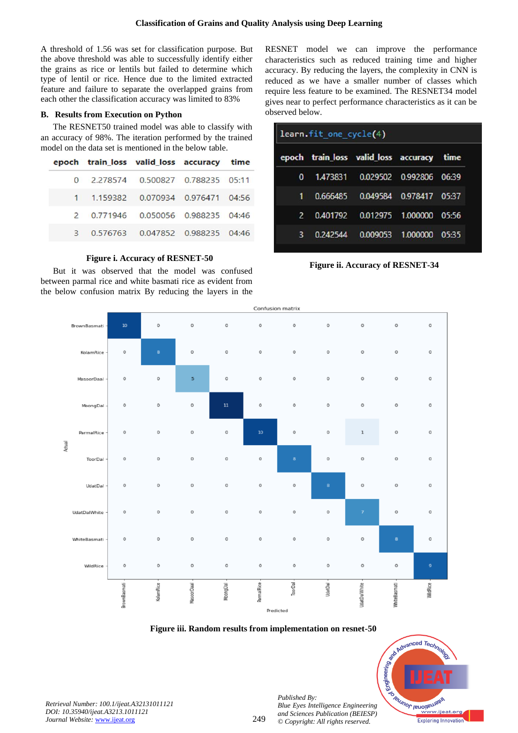A threshold of 1.56 was set for classification purpose. But the above threshold was able to successfully identify either the grains as rice or lentils but failed to determine which type of lentil or rice. Hence due to the limited extracted feature and failure to separate the overlapped grains from each other the classification accuracy was limited to 83%

# **B. Results from Execution on Python**

The RESNET50 trained model was able to classify with an accuracy of 98%. The iteration performed by the trained model on the data set is mentioned in the below table.

|  | epoch train_loss valid_loss accuracy time |  |
|--|-------------------------------------------|--|
|  | 0 2.278574 0.500827 0.788235 05:11        |  |
|  | 1  1.159382  0.070934  0.976471  04:56    |  |
|  | 2 0.771946 0.050056 0.988235 04:46        |  |
|  | 3 0.576763 0.047852 0.988235 04:46        |  |

# **Figure i. Accuracy of RESNET-50**

But it was observed that the model was confused between parmal rice and white basmati rice as evident from the below confusion matrix By reducing the layers in the RESNET model we can improve the performance characteristics such as reduced training time and higher accuracy. By reducing the layers, the complexity in CNN is reduced as we have a smaller number of classes which require less feature to be examined. The RESNET34 model gives near to perfect performance characteristics as it can be observed below.

| learn.fit_one_cycle(4) |  |                                           |  |  |
|------------------------|--|-------------------------------------------|--|--|
|                        |  | epoch train_loss valid_loss accuracy time |  |  |
| $\mathbf{0}$           |  | 1.473831  0.029502  0.992806  06:39       |  |  |
| 1                      |  | 0.666485 0.049584 0.978417 05:37          |  |  |
| $\mathbf{2}$           |  | 0.401792  0.012975  1.000000  05:56       |  |  |
| 3                      |  | 0.242544  0.009053  1.000000  05:35       |  |  |

**Figure ii. Accuracy of RESNET-34**



#### **Figure iii. Random results from implementation on resnet-50**

249



*Retrieval Number: 100.1/ijeat.A32131011121 DOI: 10.35940/ijeat.A3213.1011121 Journal Website:* [www.ijeat.org](http://www.ijeat.org/)